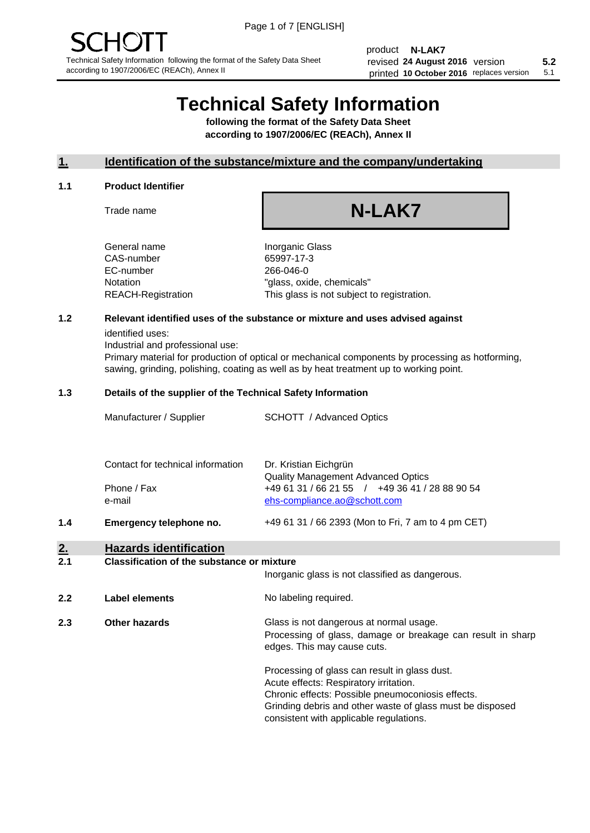product **N-LAK7** revised **5.2 24 August 2016** version printed 10 October 2016 replaces version 5.1

# **Technical Safety Information**

**following the format of the Safety Data Sheet according to 1907/2006/EC (REACh), Annex II**

## **1. Identification of the substance/mixture and the company/undertaking**

## **1.1 Product Identifier**

Trade name

# **N-LAK7**

+49 61 31 / 66 2393 (Mon to Fri, 7 am to 4 pm CET)

General name **Inorganic Glass** CAS-number 65997-17-3 EC-number 266-046-0

Notation "glass, oxide, chemicals" REACH-Registration This glass is not subject to registration.

## **1.2 Relevant identified uses of the substance or mixture and uses advised against**

identified uses:

Industrial and professional use:

Primary material for production of optical or mechanical components by processing as hotforming, sawing, grinding, polishing, coating as well as by heat treatment up to working point.

## **1.3 Details of the supplier of the Technical Safety Information**

| Manufacturer / Supplier           | <b>SCHOTT</b> / Advanced Optics                |
|-----------------------------------|------------------------------------------------|
|                                   |                                                |
| Contact for technical information | Dr. Kristian Eichgrün                          |
|                                   | <b>Quality Management Advanced Optics</b>      |
| Phone / Fax                       | +49 61 31 / 66 21 55 / +49 36 41 / 28 88 90 54 |
| e-mail                            | ehs-compliance.ao@schott.com                   |

**1.4 Emergency telephone no.**

## **2. Hazards identification**

## **2.1 Classification of the substance or mixture**

|     |                | Inorganic glass is not classified as dangerous.                                                                                                                                                                                                      |
|-----|----------------|------------------------------------------------------------------------------------------------------------------------------------------------------------------------------------------------------------------------------------------------------|
| 2.2 | Label elements | No labeling required.                                                                                                                                                                                                                                |
| 2.3 | Other hazards  | Glass is not dangerous at normal usage.<br>Processing of glass, damage or breakage can result in sharp<br>edges. This may cause cuts.                                                                                                                |
|     |                | Processing of glass can result in glass dust.<br>Acute effects: Respiratory irritation.<br>Chronic effects: Possible pneumoconiosis effects.<br>Grinding debris and other waste of glass must be disposed<br>consistent with applicable regulations. |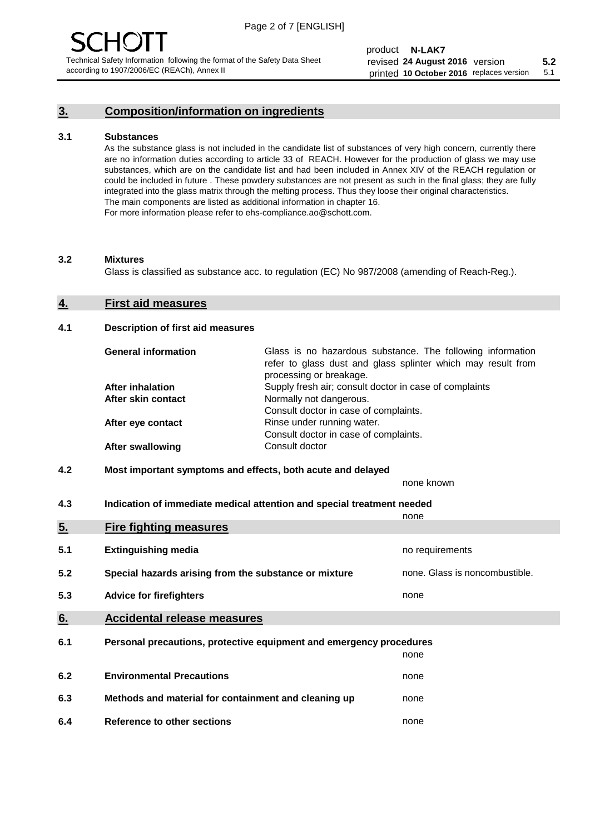## **3. Composition/information on ingredients**

## **3.1 Substances**

As the substance glass is not included in the candidate list of substances of very high concern, currently there are no information duties according to article 33 of REACH. However for the production of glass we may use substances, which are on the candidate list and had been included in Annex XIV of the REACH regulation or could be included in future . These powdery substances are not present as such in the final glass; they are fully integrated into the glass matrix through the melting process. Thus they loose their original characteristics. The main components are listed as additional information in chapter 16. For more information please refer to ehs-compliance.ao@schott.com.

## **3.2 Mixtures**

Glass is classified as substance acc. to regulation (EC) No 987/2008 (amending of Reach-Reg.).

## **4. First aid measures**

## **4.1 Description of first aid measures**

| <b>General information</b> | Glass is no hazardous substance. The following information<br>refer to glass dust and glass splinter which may result from<br>processing or breakage. |  |
|----------------------------|-------------------------------------------------------------------------------------------------------------------------------------------------------|--|
| <b>After inhalation</b>    | Supply fresh air; consult doctor in case of complaints                                                                                                |  |
| After skin contact         | Normally not dangerous.                                                                                                                               |  |
|                            | Consult doctor in case of complaints.                                                                                                                 |  |
| After eye contact          | Rinse under running water.                                                                                                                            |  |
|                            | Consult doctor in case of complaints.                                                                                                                 |  |
| <b>After swallowing</b>    | Consult doctor                                                                                                                                        |  |

## **4.2 Most important symptoms and effects, both acute and delayed**

none known

**4.3 Indication of immediate medical attention and special treatment needed** 

|     |                                                                     | none                           |
|-----|---------------------------------------------------------------------|--------------------------------|
| 5.  | <b>Fire fighting measures</b>                                       |                                |
| 5.1 | <b>Extinguishing media</b>                                          | no requirements                |
| 5.2 | Special hazards arising from the substance or mixture               | none. Glass is noncombustible. |
| 5.3 | <b>Advice for firefighters</b>                                      | none                           |
| 6.  | <b>Accidental release measures</b>                                  |                                |
| 6.1 | Personal precautions, protective equipment and emergency procedures |                                |
|     |                                                                     | none                           |
| 6.2 | <b>Environmental Precautions</b>                                    | none                           |
| 6.3 | Methods and material for containment and cleaning up                | none                           |
| 6.4 | Reference to other sections                                         | none                           |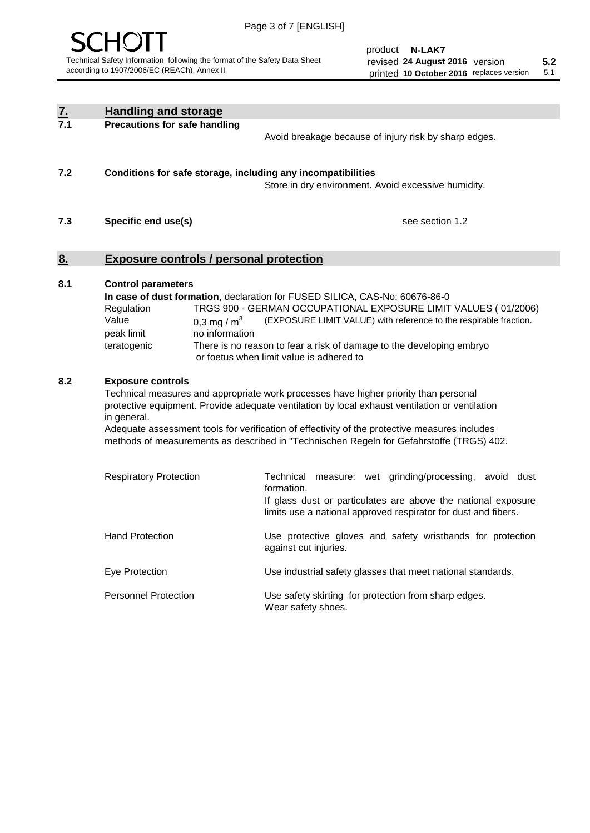

| <u>7.</u><br>7.1 | <b>Handling and storage</b>                                                                                      |                                                                                                                                                                                                                                                                                                                                                                                     |
|------------------|------------------------------------------------------------------------------------------------------------------|-------------------------------------------------------------------------------------------------------------------------------------------------------------------------------------------------------------------------------------------------------------------------------------------------------------------------------------------------------------------------------------|
|                  | <b>Precautions for safe handling</b>                                                                             | Avoid breakage because of injury risk by sharp edges.                                                                                                                                                                                                                                                                                                                               |
| 7.2              | Conditions for safe storage, including any incompatibilities                                                     | Store in dry environment. Avoid excessive humidity.                                                                                                                                                                                                                                                                                                                                 |
| 7.3              | Specific end use(s)                                                                                              | see section 1.2                                                                                                                                                                                                                                                                                                                                                                     |
| <u>8.</u>        | <b>Exposure controls / personal protection</b>                                                                   |                                                                                                                                                                                                                                                                                                                                                                                     |
| 8.1              | <b>Control parameters</b><br>Regulation<br>Value<br>0,3 mg / $m3$<br>peak limit<br>no information<br>teratogenic | In case of dust formation, declaration for FUSED SILICA, CAS-No: 60676-86-0<br>TRGS 900 - GERMAN OCCUPATIONAL EXPOSURE LIMIT VALUES (01/2006)<br>(EXPOSURE LIMIT VALUE) with reference to the respirable fraction.<br>There is no reason to fear a risk of damage to the developing embryo<br>or foetus when limit value is adhered to                                              |
| 8.2              | <b>Exposure controls</b><br>in general.                                                                          | Technical measures and appropriate work processes have higher priority than personal<br>protective equipment. Provide adequate ventilation by local exhaust ventilation or ventilation<br>Adequate assessment tools for verification of effectivity of the protective measures includes<br>methods of measurements as described in "Technischen Regeln for Gefahrstoffe (TRGS) 402. |
|                  | <b>Respiratory Protection</b>                                                                                    | Technical measure: wet grinding/processing, avoid dust<br>formation.<br>If glass dust or particulates are above the national exposure<br>limits use a national approved respirator for dust and fibers.                                                                                                                                                                             |
|                  | <b>Hand Protection</b>                                                                                           | Use protective gloves and safety wristbands for protection<br>against cut injuries.                                                                                                                                                                                                                                                                                                 |
|                  | Eye Protection                                                                                                   | Use industrial safety glasses that meet national standards.                                                                                                                                                                                                                                                                                                                         |
|                  | <b>Personnel Protection</b>                                                                                      | Use safety skirting for protection from sharp edges.<br>Wear safety shoes.                                                                                                                                                                                                                                                                                                          |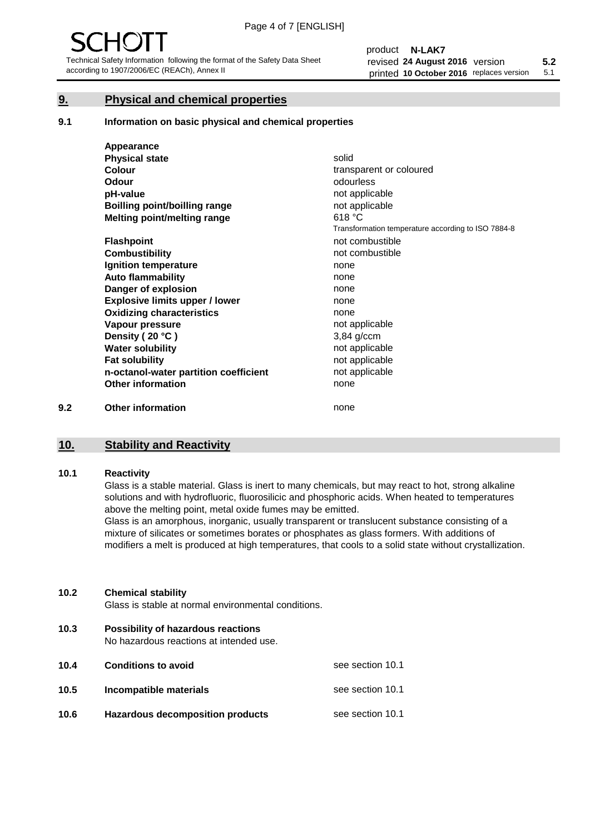## **9. Physical and chemical properties**

## **9.1 Information on basic physical and chemical properties**

|     | Appearance                            |                                                    |
|-----|---------------------------------------|----------------------------------------------------|
|     | <b>Physical state</b>                 | solid                                              |
|     | <b>Colour</b>                         | transparent or coloured                            |
|     | Odour                                 | odourless                                          |
|     | pH-value                              | not applicable                                     |
|     | <b>Boilling point/boilling range</b>  | not applicable                                     |
|     | Melting point/melting range           | 618 °C                                             |
|     |                                       | Transformation temperature according to ISO 7884-8 |
|     | <b>Flashpoint</b>                     | not combustible                                    |
|     | <b>Combustibility</b>                 | not combustible                                    |
|     | Ignition temperature                  | none                                               |
|     | <b>Auto flammability</b>              | none                                               |
|     | Danger of explosion                   | none                                               |
|     | <b>Explosive limits upper / lower</b> | none                                               |
|     | <b>Oxidizing characteristics</b>      | none                                               |
|     | Vapour pressure                       | not applicable                                     |
|     | Density (20 °C)                       | 3,84 g/ccm                                         |
|     | <b>Water solubility</b>               | not applicable                                     |
|     | <b>Fat solubility</b>                 | not applicable                                     |
|     | n-octanol-water partition coefficient | not applicable                                     |
|     | <b>Other information</b>              | none                                               |
| 9.2 | <b>Other information</b>              | none                                               |

# **10. Stability and Reactivity**

## **10.1 Reactivity**

Glass is a stable material. Glass is inert to many chemicals, but may react to hot, strong alkaline solutions and with hydrofluoric, fluorosilicic and phosphoric acids. When heated to temperatures above the melting point, metal oxide fumes may be emitted.

Glass is an amorphous, inorganic, usually transparent or translucent substance consisting of a mixture of silicates or sometimes borates or phosphates as glass formers. With additions of modifiers a melt is produced at high temperatures, that cools to a solid state without crystallization.

## **10.2 Chemical stability**

Glass is stable at normal environmental conditions.

**10.3 Possibility of hazardous reactions** 

No hazardous reactions at intended use.

| 10.4 | <b>Conditions to avoid</b>              | see section 10.1 |
|------|-----------------------------------------|------------------|
| 10.5 | Incompatible materials                  | see section 10.1 |
| 10.6 | <b>Hazardous decomposition products</b> | see section 10.1 |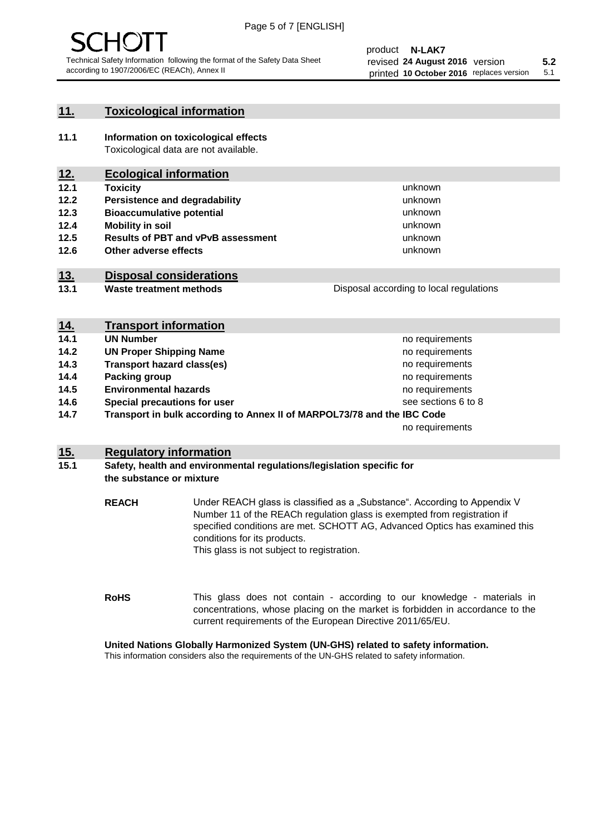## **11. Toxicological information**

**11.1 Information on toxicological effects** Toxicological data are not available.

## **12. Ecological information**

- **12.1 Toxicity**
- **12.2 Persistence and degradability**
- **12.3 Bioaccumulative potential**
- **12.4 Mobility in soil**
- **12.5 Results of PBT and vPvB assessment**
- **12.6 Other adverse effects**

## **13. Disposal considerations**

- **13.1 Waste treatment methods**
- Disposal according to local regulations

unknown unknown unknown

unknown unknown unknown

| <u>14.</u> | <b>Transport information</b>                                            |                     |
|------------|-------------------------------------------------------------------------|---------------------|
| 14.1       | <b>UN Number</b>                                                        | no requirements     |
| 14.2       | <b>UN Proper Shipping Name</b>                                          | no requirements     |
| 14.3       | <b>Transport hazard class(es)</b>                                       | no requirements     |
| 14.4       | Packing group                                                           | no requirements     |
| 14.5       | <b>Environmental hazards</b>                                            | no requirements     |
| 14.6       | Special precautions for user                                            | see sections 6 to 8 |
| 14.7       | Transport in bulk according to Annex II of MARPOL73/78 and the IBC Code |                     |
|            |                                                                         | no requirements     |

## **15. Regulatory information**

## **15.1 Safety, health and environmental regulations/legislation specific for the substance or mixture**

**REACH** Under REACH glass is classified as a "Substance". According to Appendix V Number 11 of the REACh regulation glass is exempted from registration if specified conditions are met. SCHOTT AG, Advanced Optics has examined this conditions for its products. This glass is not subject to registration.

**RoHS** This glass does not contain - according to our knowledge - materials in concentrations, whose placing on the market is forbidden in accordance to the current requirements of the European Directive 2011/65/EU.

## **United Nations Globally Harmonized System (UN-GHS) related to safety information.**

This information considers also the requirements of the UN-GHS related to safety information.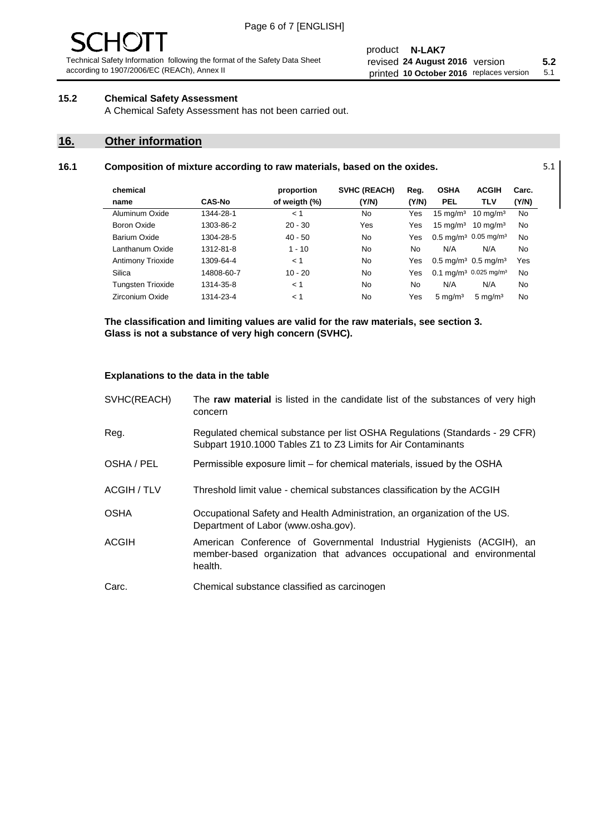## product **N-LAK7** revised **5.2 24 August 2016** version printed 10 October 2016 replaces version 5.1

## **15.2 Chemical Safety Assessment**

A Chemical Safety Assessment has not been carried out.

## **16. Other information**

L,

## **16.1 Composition of mixture according to raw materials, based on the oxides.** 5.1

| chemical                 |               | proportion    | <b>SVHC (REACH)</b> | Reg.  | <b>OSHA</b>         | <b>ACGIH</b>                                  | Carc.     |
|--------------------------|---------------|---------------|---------------------|-------|---------------------|-----------------------------------------------|-----------|
| name                     | <b>CAS-No</b> | of weigth (%) | (Y/N)               | (Y/N) | <b>PEL</b>          | <b>TLV</b>                                    | (Y/N)     |
| Aluminum Oxide           | 1344-28-1     | < 1           | No                  | Yes   | $15 \text{ mg/m}^3$ | $10 \text{ mg/m}^3$                           | <b>No</b> |
| Boron Oxide              | 1303-86-2     | $20 - 30$     | Yes                 | Yes   | $15 \text{ mg/m}^3$ | $10 \text{ mg/m}^3$                           | No        |
| Barium Oxide             | 1304-28-5     | $40 - 50$     | No                  | Yes   |                     | $0.5 \text{ mg/m}^3$ 0.05 mg/m <sup>3</sup>   | No        |
| Lanthanum Oxide          | 1312-81-8     | $1 - 10$      | No                  | No    | N/A                 | N/A                                           | No        |
| Antimony Trioxide        | 1309-64-4     | < 1           | No                  | Yes   |                     | $0.5 \,\mathrm{mq/m^3}$ 0.5 mg/m <sup>3</sup> | Yes       |
| Silica                   | 14808-60-7    | $10 - 20$     | No                  | Yes   |                     | 0.1 mg/m <sup>3</sup> 0.025 mg/m <sup>3</sup> | No        |
| <b>Tungsten Trioxide</b> | 1314-35-8     | < 1           | N <sub>0</sub>      | No    | N/A                 | N/A                                           | No        |
| Zirconium Oxide          | 1314-23-4     | 1 >           | No                  | Yes   | $5 \text{ ma/m}^3$  | $5 \text{ mg/m}^3$                            | <b>No</b> |

**The classification and limiting values are valid for the raw materials, see section 3. Glass is not a substance of very high concern (SVHC).**

## **Explanations to the data in the table**

| SVHC(REACH)        | The raw material is listed in the candidate list of the substances of very high<br>concern                                                                 |  |
|--------------------|------------------------------------------------------------------------------------------------------------------------------------------------------------|--|
| Reg.               | Regulated chemical substance per list OSHA Regulations (Standards - 29 CFR)<br>Subpart 1910.1000 Tables Z1 to Z3 Limits for Air Contaminants               |  |
| OSHA / PEL         | Permissible exposure limit – for chemical materials, issued by the OSHA                                                                                    |  |
| <b>ACGIH / TLV</b> | Threshold limit value - chemical substances classification by the ACGIH                                                                                    |  |
| <b>OSHA</b>        | Occupational Safety and Health Administration, an organization of the US.<br>Department of Labor (www.osha.gov).                                           |  |
| <b>ACGIH</b>       | American Conference of Governmental Industrial Hygienists (ACGIH), an<br>member-based organization that advances occupational and environmental<br>health. |  |
| Carc.              | Chemical substance classified as carcinogen                                                                                                                |  |